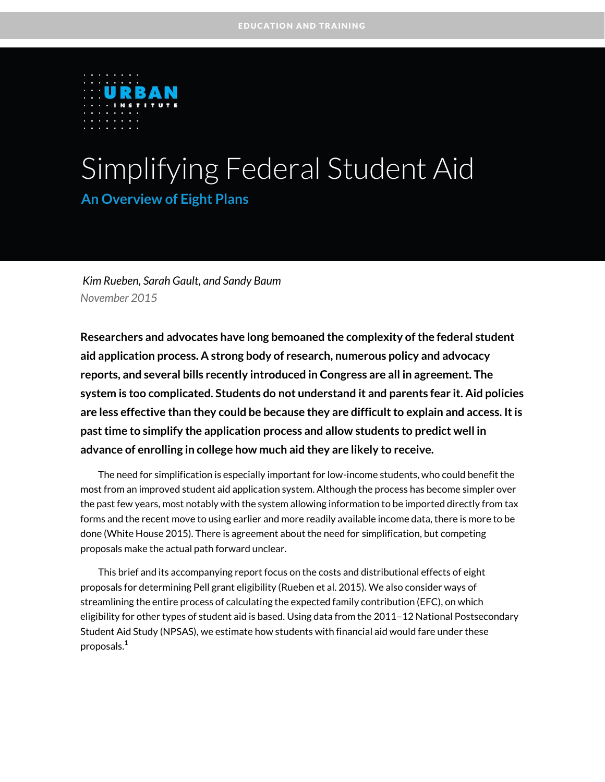

# Simplifying Federal Student Aid **An Overview of Eight Plans**

*Kim Rueben, Sarah Gault, and Sandy Baum November 2015*

**Researchers and advocates have long bemoaned the complexity of the federal student aid application process. A strong body of research, numerous policy and advocacy reports, and several bills recently introduced in Congress are all in agreement. The system is too complicated. Students do not understand it and parents fear it. Aid policies are less effective than they could be because they are difficult to explain and access. It is past time to simplify the application process and allow students to predict well in advance of enrolling in college how much aid they are likely to receive.**

The need for simplification is especially important for low-income students, who could benefit the most from an improved student aid application system. Although the process has become simpler over the past few years, most notably with the system allowing information to be imported directly from tax forms and the recent move to using earlier and more readily available income data, there is more to be done (White House 2015). There is agreement about the need for simplification, but competing proposals make the actual path forward unclear.

This brief and its accompanying report focus on the costs and distributional effects of eight proposals for determining Pell grant eligibility (Rueben et al. 2015). We also consider ways of streamlining the entire process of calculating the expected family contribution (EFC), on which eligibility for other types of student aid is based. Using data from the 2011–12 National Postsecondary Student Aid Study (NPSAS), we estimate how students with financial aid would fare under these proposals. $<sup>1</sup>$  $<sup>1</sup>$  $<sup>1</sup>$ </sup>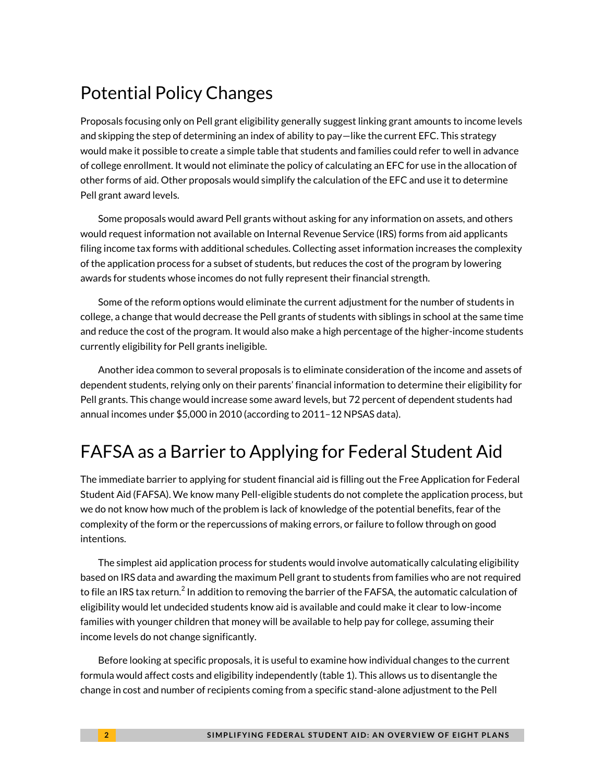# Potential Policy Changes

Proposals focusing only on Pell grant eligibility generally suggest linking grant amounts to income levels and skipping the step of determining an index of ability to pay—like the current EFC. This strategy would make it possible to create a simple table that students and families could refer to well in advance of college enrollment. It would not eliminate the policy of calculating an EFC for use in the allocation of other forms of aid. Other proposals would simplify the calculation of the EFC and use it to determine Pell grant award levels.

Some proposals would award Pell grants without asking for any information on assets, and others would request information not available on Internal Revenue Service (IRS) forms from aid applicants filing income tax forms with additional schedules. Collecting asset information increases the complexity of the application process for a subset of students, but reduces the cost of the program by lowering awards for students whose incomes do not fully represent their financial strength.

Some of the reform options would eliminate the current adjustment for the number of students in college, a change that would decrease the Pell grants of students with siblings in school at the same time and reduce the cost of the program. It would also make a high percentage of the higher-income students currently eligibility for Pell grants ineligible.

Another idea common to several proposals is to eliminate consideration of the income and assets of dependent students, relying only on their parents' financial information to determine their eligibility for Pell grants. This change would increase some award levels, but 72 percent of dependent students had annual incomes under \$5,000 in 2010 (according to 2011–12 NPSAS data).

# FAFSA as a Barrier to Applying for Federal Student Aid

The immediate barrier to applying for student financial aid is filling out the Free Application for Federal Student Aid (FAFSA). We know many Pell-eligible students do not complete the application process, but we do not know how much of the problem is lack of knowledge of the potential benefits, fear of the complexity of the form or the repercussions of making errors, or failure to follow through on good intentions.

The simplest aid application process for students would involve automatically calculating eligibility based on IRS data and awarding the maximum Pell grant to students from families who are not required to file an IRS tax return. $^2$  $^2$  In addition to removing the barrier of the FAFSA, the automatic calculation of eligibility would let undecided students know aid is available and could make it clear to low-income families with younger children that money will be available to help pay for college, assuming their income levels do not change significantly.

Before looking at specific proposals, it is useful to examine how individual changes to the current formula would affect costs and eligibility independently (table 1). This allows us to disentangle the change in cost and number of recipients coming from a specific stand-alone adjustment to the Pell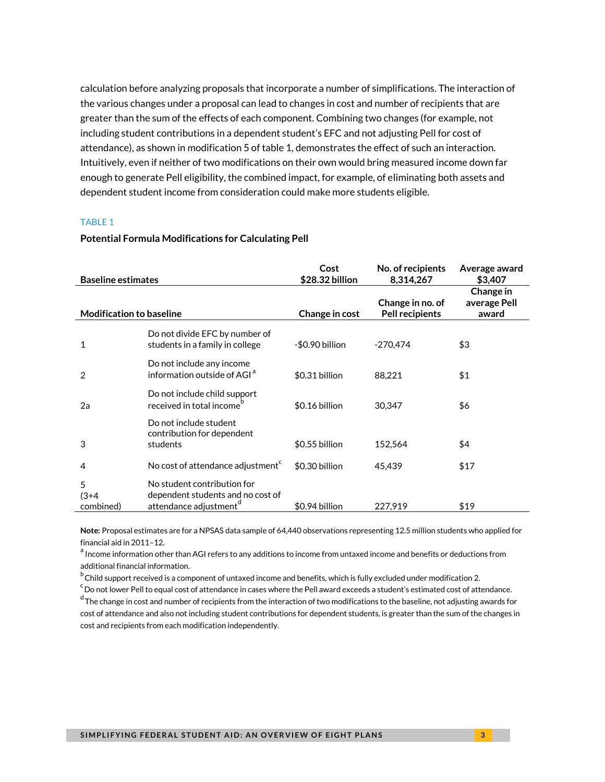calculation before analyzing proposals that incorporate a number of simplifications. The interaction of the various changes under a proposal can lead to changes in cost and number of recipients that are greater than the sum of the effects of each component. Combining two changes (for example, not including student contributions in a dependent student's EFC and not adjusting Pell for cost of attendance), as shown in modification 5 of table 1, demonstrates the effect of such an interaction. Intuitively, even if neither of two modifications on their own would bring measured income down far enough to generate Pell eligibility, the combined impact, for example, of eliminating both assets and dependent student income from consideration could make more students eligible.

#### TABLE 1

#### **Potential Formula Modifications for Calculating Pell**

| <b>Baseline estimates</b>       |                                                                                                        | Cost<br>\$28.32 billion | No. of recipients<br>8,314,267      | Average award<br>\$3,407           |
|---------------------------------|--------------------------------------------------------------------------------------------------------|-------------------------|-------------------------------------|------------------------------------|
| <b>Modification to baseline</b> |                                                                                                        | Change in cost          | Change in no. of<br>Pell recipients | Change in<br>average Pell<br>award |
| $\mathbf{1}$                    | Do not divide EFC by number of<br>students in a family in college                                      | -\$0.90 billion         | $-270.474$                          | \$3                                |
| $\overline{2}$                  | Do not include any income<br>information outside of AGI <sup>a</sup>                                   | \$0.31 billion          | 88,221                              | \$1                                |
| 2a                              | Do not include child support<br>received in total income <sup>b</sup>                                  | \$0.16 billion          | 30.347                              | \$6                                |
| 3                               | Do not include student<br>contribution for dependent<br>students                                       | \$0.55 billion          | 152.564                             | \$4                                |
| 4                               | No cost of attendance adjustment <sup>c</sup>                                                          | \$0.30 billion          | 45,439                              | \$17                               |
| 5<br>$(3+4)$<br>combined)       | No student contribution for<br>dependent students and no cost of<br>attendance adjustment <sup>d</sup> | \$0.94 billion          | 227.919                             | \$19                               |

**Note:** Proposal estimates are for a NPSAS data sample of 64,440 observations representing 12.5 million students who applied for financial aid in 2011–12.

<sup>a</sup> Income information other than AGI refers to any additions to income from untaxed income and benefits or deductions from additional financial information.

<sup>b</sup> Child support received is a component of untaxed income and benefits, which is fully excluded under modification 2.

 $^{\rm c}$ Do not lower Pell to equal cost of attendance in cases where the Pell award exceeds a student's estimated cost of attendance.

<sup>d</sup> The change in cost and number of recipients from the interaction of two modifications to the baseline, not adjusting awards for cost of attendance and also not including student contributions for dependent students, is greater than the sum of the changes in cost and recipients from each modification independently.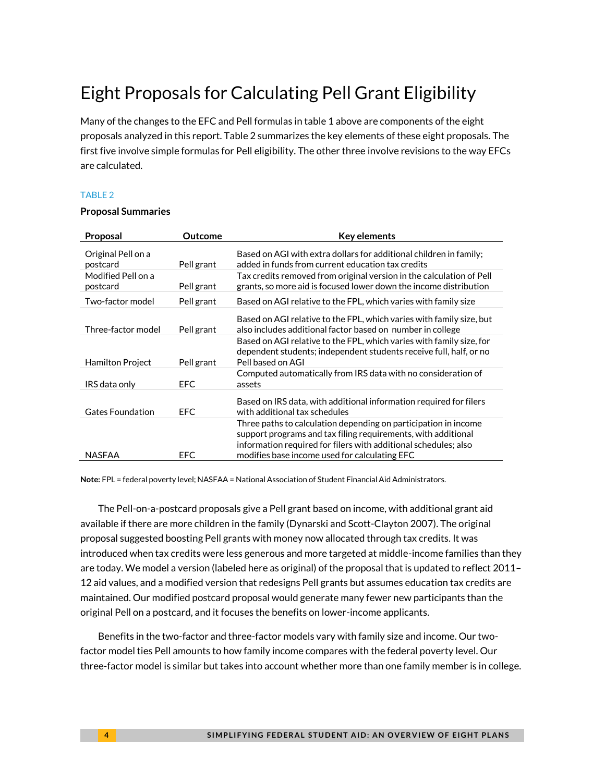# Eight Proposals for Calculating Pell Grant Eligibility

Many of the changes to the EFC and Pell formulas in table 1 above are components of the eight proposals analyzed in this report. Table 2 summarizes the key elements of these eight proposals. The first five involve simple formulas for Pell eligibility. The other three involve revisions to the way EFCs are calculated.

#### TABLE 2

#### **Proposal Summaries**

| Proposal                       | Outcome    | <b>Key elements</b>                                                                                                                                                                                 |
|--------------------------------|------------|-----------------------------------------------------------------------------------------------------------------------------------------------------------------------------------------------------|
| Original Pell on a<br>postcard | Pell grant | Based on AGI with extra dollars for additional children in family;<br>added in funds from current education tax credits                                                                             |
| Modified Pell on a<br>postcard | Pell grant | Tax credits removed from original version in the calculation of Pell<br>grants, so more aid is focused lower down the income distribution                                                           |
| Two-factor model               | Pell grant | Based on AGI relative to the FPL, which varies with family size                                                                                                                                     |
| Three-factor model             | Pell grant | Based on AGI relative to the FPL, which varies with family size, but<br>also includes additional factor based on number in college                                                                  |
| <b>Hamilton Project</b>        | Pell grant | Based on AGI relative to the FPL, which varies with family size, for<br>dependent students; independent students receive full, half, or no<br>Pell based on AGI                                     |
| IRS data only                  | EFC.       | Computed automatically from IRS data with no consideration of<br>assets                                                                                                                             |
| <b>Gates Foundation</b>        | <b>EFC</b> | Based on IRS data, with additional information required for filers<br>with additional tax schedules                                                                                                 |
|                                |            | Three paths to calculation depending on participation in income<br>support programs and tax filing requirements, with additional<br>information required for filers with additional schedules; also |
| NASFAA                         | <b>EFC</b> | modifies base income used for calculating EFC                                                                                                                                                       |

**Note:** FPL = federal poverty level; NASFAA = National Association of Student Financial Aid Administrators.

The Pell-on-a-postcard proposals give a Pell grant based on income, with additional grant aid available if there are more children in the family (Dynarski and Scott-Clayton 2007). The original proposal suggested boosting Pell grants with money now allocated through tax credits. It was introduced when tax credits were less generous and more targeted at middle-income families than they are today. We model a version (labeled here as original) of the proposal that is updated to reflect 2011– 12 aid values, and a modified version that redesigns Pell grants but assumes education tax credits are maintained. Our modified postcard proposal would generate many fewer new participants than the original Pell on a postcard, and it focuses the benefits on lower-income applicants.

Benefits in the two-factor and three-factor models vary with family size and income. Our twofactor model ties Pell amounts to how family income compares with the federal poverty level. Our three-factor model is similar but takes into account whether more than one family member is in college.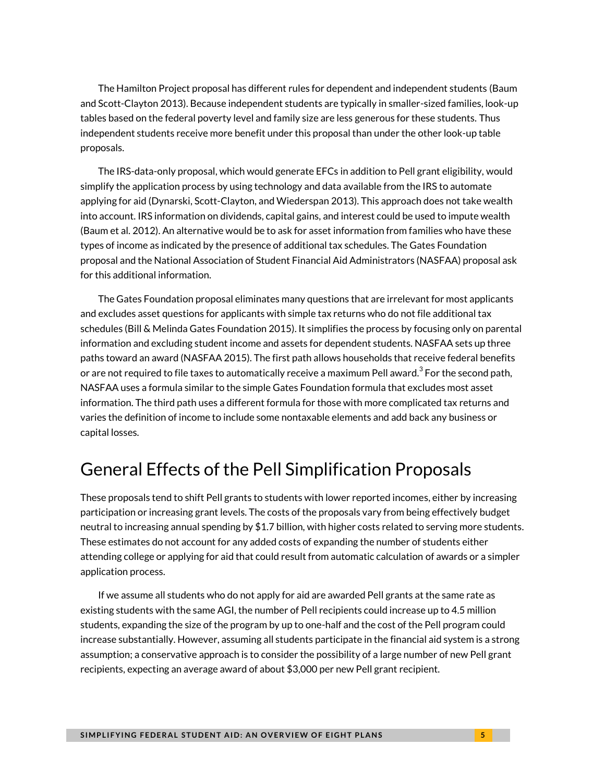The Hamilton Project proposal has different rules for dependent and independent students (Baum and Scott-Clayton 2013). Because independent students are typically in smaller-sized families, look-up tables based on the federal poverty level and family size are less generous for these students. Thus independent students receive more benefit under this proposal than under the other look-up table proposals.

The IRS-data-only proposal, which would generate EFCs in addition to Pell grant eligibility, would simplify the application process by using technology and data available from the IRS to automate applying for aid (Dynarski, Scott-Clayton, and Wiederspan 2013). This approach does not take wealth into account. IRS information on dividends, capital gains, and interest could be used to impute wealth (Baum et al. 2012). An alternative would be to ask for asset information from families who have these types of income as indicated by the presence of additional tax schedules. The Gates Foundation proposal and the National Association of Student Financial Aid Administrators (NASFAA) proposal ask for this additional information.

The Gates Foundation proposal eliminates many questions that are irrelevant for most applicants and excludes asset questions for applicants with simple tax returns who do not file additional tax schedules (Bill & Melinda Gates Foundation 2015). It simplifies the process by focusing only on parental information and excluding student income and assets for dependent students. NASFAA sets up three paths toward an award (NASFAA 2015). The first path allows households that receive federal benefits or are not required to file taxes to automatically receive a maximum Pell award. $^3$  $^3$  For the second path, NASFAA uses a formula similar to the simple Gates Foundation formula that excludes most asset information. The third path uses a different formula for those with more complicated tax returns and varies the definition of income to include some nontaxable elements and add back any business or capital losses.

### General Effects of the Pell Simplification Proposals

These proposals tend to shift Pell grants to students with lower reported incomes, either by increasing participation or increasing grant levels. The costs of the proposals vary from being effectively budget neutral to increasing annual spending by \$1.7 billion, with higher costs related to serving more students. These estimates do not account for any added costs of expanding the number of students either attending college or applying for aid that could result from automatic calculation of awards or a simpler application process.

If we assume all students who do not apply for aid are awarded Pell grants at the same rate as existing students with the same AGI, the number of Pell recipients could increase up to 4.5 million students, expanding the size of the program by up to one-half and the cost of the Pell program could increase substantially. However, assuming all students participate in the financial aid system is a strong assumption; a conservative approach is to consider the possibility of a large number of new Pell grant recipients, expecting an average award of about \$3,000 per new Pell grant recipient.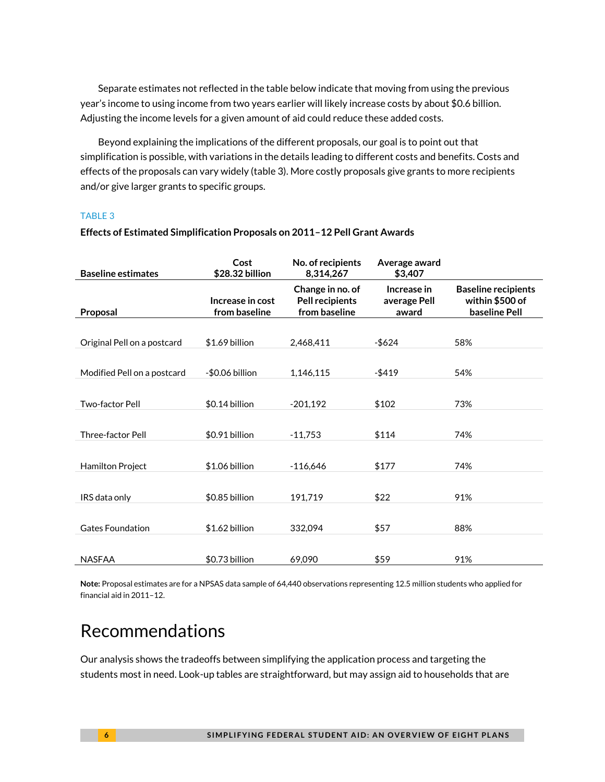Separate estimates not reflected in the table below indicate that moving from using the previous year's income to using income from two years earlier will likely increase costs by about \$0.6 billion. Adjusting the income levels for a given amount of aid could reduce these added costs.

Beyond explaining the implications of the different proposals, our goal is to point out that simplification is possible, with variations in the details leading to different costs and benefits. Costs and effects of the proposals can vary widely (table 3). More costly proposals give grants to more recipients and/or give larger grants to specific groups.

#### TABLE 3

| <b>Baseline estimates</b>   | Cost<br>\$28.32 billion           | No. of recipients<br>8,314,267                              | Average award<br>\$3,407             |                                                                |
|-----------------------------|-----------------------------------|-------------------------------------------------------------|--------------------------------------|----------------------------------------------------------------|
| Proposal                    | Increase in cost<br>from baseline | Change in no. of<br><b>Pell recipients</b><br>from baseline | Increase in<br>average Pell<br>award | <b>Baseline recipients</b><br>within \$500 of<br>baseline Pell |
|                             |                                   |                                                             |                                      |                                                                |
| Original Pell on a postcard | \$1.69 billion                    | 2,468,411                                                   | -\$624                               | 58%                                                            |
|                             |                                   |                                                             |                                      |                                                                |
| Modified Pell on a postcard | -\$0.06 billion                   | 1,146,115                                                   | $-5419$                              | 54%                                                            |
|                             |                                   |                                                             |                                      |                                                                |
| Two-factor Pell             | \$0.14 billion                    | $-201.192$                                                  | \$102                                | 73%                                                            |
|                             |                                   |                                                             |                                      |                                                                |
| Three-factor Pell           | \$0.91 billion                    | $-11.753$                                                   | \$114                                | 74%                                                            |
| Hamilton Project            | \$1.06 billion                    | $-116,646$                                                  | \$177                                | 74%                                                            |
|                             |                                   |                                                             |                                      |                                                                |
| IRS data only               | \$0.85 billion                    | 191.719                                                     | \$22                                 | 91%                                                            |
| <b>Gates Foundation</b>     | \$1.62 billion                    | 332,094                                                     | \$57                                 | 88%                                                            |
| <b>NASFAA</b>               | \$0.73 billion                    | 69,090                                                      | \$59                                 | 91%                                                            |

#### **Effects of Estimated Simplification Proposals on 2011–12 Pell Grant Awards**

**Note:** Proposal estimates are for a NPSAS data sample of 64,440 observations representing 12.5 million students who applied for financial aid in 2011–12.

### Recommendations

Our analysis shows the tradeoffs between simplifying the application process and targeting the students most in need. Look-up tables are straightforward, but may assign aid to households that are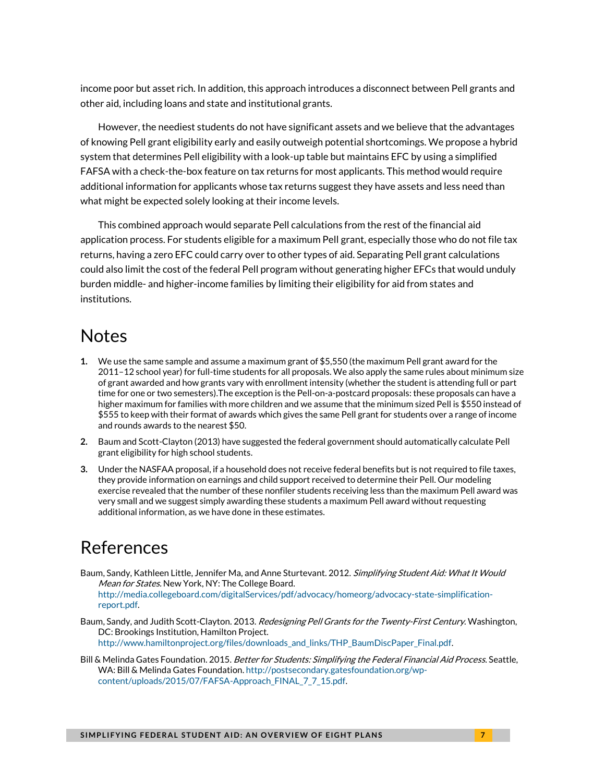income poor but asset rich. In addition, this approach introduces a disconnect between Pell grants and other aid, including loans and state and institutional grants.

However, the neediest students do not have significant assets and we believe that the advantages of knowing Pell grant eligibility early and easily outweigh potential shortcomings. We propose a hybrid system that determines Pell eligibility with a look-up table but maintains EFC by using a simplified FAFSA with a check-the-box feature on tax returns for most applicants. This method would require additional information for applicants whose tax returns suggest they have assets and less need than what might be expected solely looking at their income levels.

This combined approach would separate Pell calculations from the rest of the financial aid application process. For students eligible for a maximum Pell grant, especially those who do not file tax returns, having a zero EFC could carry over to other types of aid. Separating Pell grant calculations could also limit the cost of the federal Pell program without generating higher EFCs that would unduly burden middle- and higher-income families by limiting their eligibility for aid from states and institutions.

### **Notes**

- <span id="page-6-0"></span>**1.** We use the same sample and assume a maximum grant of \$5,550 (the maximum Pell grant award for the 2011–12 school year) for full-time students for all proposals. We also apply the same rules about minimum size of grant awarded and how grants vary with enrollment intensity (whether the student is attending full or part time for one or two semesters).The exception is the Pell-on-a-postcard proposals: these proposals can have a higher maximum for families with more children and we assume that the minimum sized Pell is \$550 instead of \$555 to keep with their format of awards which gives the same Pell grant for students over a range of income and rounds awards to the nearest \$50.
- <span id="page-6-1"></span>**2.** Baum and Scott-Clayton (2013) have suggested the federal government should automatically calculate Pell grant eligibility for high school students.
- <span id="page-6-2"></span>**3.** Under the NASFAA proposal, if a household does not receive federal benefits but is not required to file taxes, they provide information on earnings and child support received to determine their Pell. Our modeling exercise revealed that the number of these nonfiler students receiving less than the maximum Pell award was very small and we suggest simply awarding these students a maximum Pell award without requesting additional information, as we have done in these estimates.

### References

[report.pdf.](http://media.collegeboard.com/digitalServices/pdf/advocacy/homeorg/advocacy-state-simplification-report.pdf)

- Baum, Sandy, Kathleen Little, Jennifer Ma, and Anne Sturtevant. 2012. *Simplifying Student Aid: What It Would* Mean for States. New York, NY: The College Board. [http://media.collegeboard.com/digitalServices/pdf/advocacy/homeorg/advocacy-state-simplification-](http://media.collegeboard.com/digitalServices/pdf/advocacy/homeorg/advocacy-state-simplification-report.pdf)
- Baum, Sandy, and Judith Scott-Clayton. 2013. *Redesigning Pell Grants for the Twenty-First Century*. Washington, DC: Brookings Institution, Hamilton Project. [http://www.hamiltonproject.org/files/downloads\\_and\\_links/THP\\_BaumDiscPaper\\_Final.pdf.](http://www.hamiltonproject.org/files/downloads_and_links/THP_BaumDiscPaper_Final.pdf)
- Bill & Melinda Gates Foundation. 2015. *Better for Students: Simplifying the Federal Financial Aid Process*. Seattle, WA: Bill & Melinda Gates Foundation[. http://postsecondary.gatesfoundation.org/wp](http://postsecondary.gatesfoundation.org/wp-content/uploads/2015/07/FAFSA-Approach_FINAL_7_7_15.pdf)[content/uploads/2015/07/FAFSA-Approach\\_FINAL\\_7\\_7\\_15.pdf.](http://postsecondary.gatesfoundation.org/wp-content/uploads/2015/07/FAFSA-Approach_FINAL_7_7_15.pdf)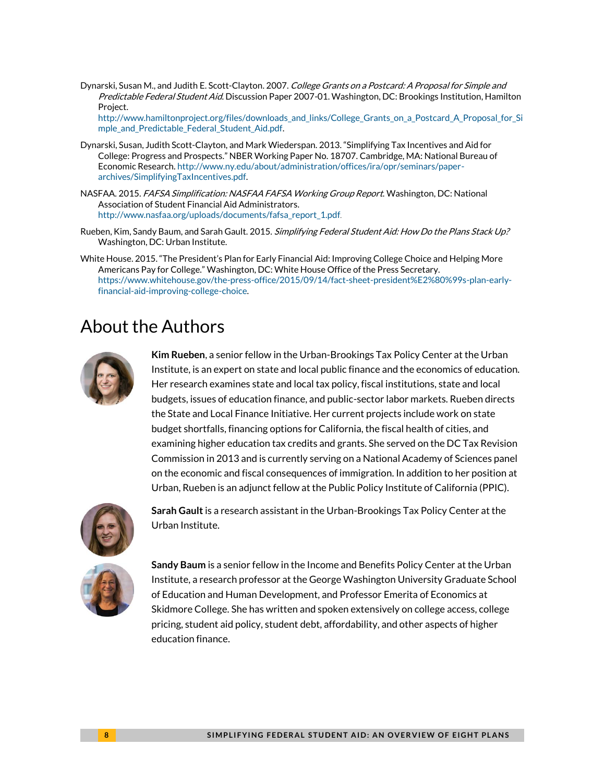Dynarski, Susan M., and Judith E. Scott-Clayton. 2007. College Grants on a Postcard: A Proposal for Simple and Predictable Federal Student Aid. Discussion Paper 2007-01. Washington, DC: Brookings Institution, Hamilton Project.

[http://www.hamiltonproject.org/files/downloads\\_and\\_links/College\\_Grants\\_on\\_a\\_Postcard\\_A\\_Proposal\\_for\\_Si](http://www.hamiltonproject.org/files/downloads_and_links/College_Grants_on_a_Postcard_A_Proposal_for_Simple_and_Predictable_Federal_Student_Aid.pdf) [mple\\_and\\_Predictable\\_Federal\\_Student\\_Aid.pdf.](http://www.hamiltonproject.org/files/downloads_and_links/College_Grants_on_a_Postcard_A_Proposal_for_Simple_and_Predictable_Federal_Student_Aid.pdf)

- Dynarski, Susan, Judith Scott-Clayton, and Mark Wiederspan. 2013. "Simplifying Tax Incentives and Aid for College: Progress and Prospects." NBER Working Paper No. 18707. Cambridge, MA: National Bureau of Economic Research. [http://www.ny.edu/about/administration/offices/ira/opr/seminars/paper](http://www.ny.edu/about/administration/offices/ira/opr/seminars/paper-archives/SimplifyingTaxIncentives.pdf)[archives/SimplifyingTaxIncentives.pdf.](http://www.ny.edu/about/administration/offices/ira/opr/seminars/paper-archives/SimplifyingTaxIncentives.pdf)
- NASFAA. 2015. FAFSA Simplification: NASFAA FAFSA Working Group Report. Washington, DC: National Association of Student Financial Aid Administrators. [http://www.nasfaa.org/uploads/documents/fafsa\\_report\\_1.pdf](http://www.nasfaa.org/uploads/documents/fafsa_report_1.pdf).
- Rueben, Kim, Sandy Baum, and Sarah Gault. 2015. Simplifying Federal Student Aid: How Do the Plans Stack Up? Washington, DC: Urban Institute.
- White House. 2015. "The President's Plan for Early Financial Aid: Improving College Choice and Helping More Americans Pay for College." Washington, DC: White House Office of the Press Secretary. [https://www.whitehouse.gov/the-press-office/2015/09/14/fact-sheet-president%E2%80%99s-plan-early](https://www.whitehouse.gov/the-press-office/2015/09/14/fact-sheet-president%E2%80%99s-plan-early-financial-aid-improving-college-choice)[financial-aid-improving-college-choice.](https://www.whitehouse.gov/the-press-office/2015/09/14/fact-sheet-president%E2%80%99s-plan-early-financial-aid-improving-college-choice)

## About the Authors



**Kim Rueben**, a senior fellow in the Urban-Brookings Tax Policy Center at the Urban Institute, is an expert on state and local public finance and the economics of education. Her research examines state and local tax policy, fiscal institutions, state and local budgets, issues of education finance, and public-sector labor markets. Rueben directs the State and Local Finance Initiative. Her current projects include work on state budget shortfalls, financing options for California, the fiscal health of cities, and examining higher education tax credits and grants. She served on the DC Tax Revision Commission in 2013 and is currently serving on a National Academy of Sciences panel on the economic and fiscal consequences of immigration. In addition to her position at Urban, Rueben is an adjunct fellow at the Public Policy Institute of California (PPIC).



**Sarah Gault** is a research assistant in the Urban-Brookings Tax Policy Center at the Urban Institute.



**Sandy Baum** is a senior fellow in the Income and Benefits Policy Center at the Urban Institute, a research professor at the George Washington University Graduate School of Education and Human Development, and Professor Emerita of Economics at Skidmore College. She has written and spoken extensively on college access, college pricing, student aid policy, student debt, affordability, and other aspects of higher education finance.